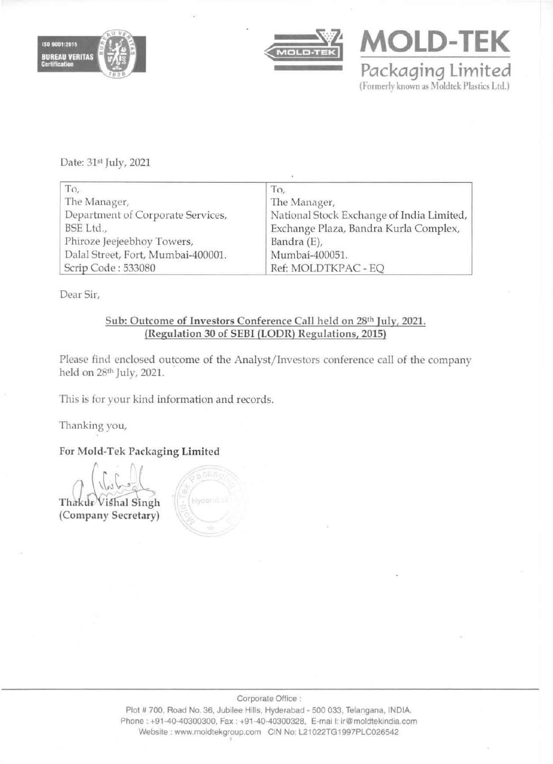





Date: 31st July, 2021

| To,                                | To,                                       |
|------------------------------------|-------------------------------------------|
| The Manager,                       | The Manager,                              |
| Department of Corporate Services,  | National Stock Exchange of India Limited, |
| BSE Ltd.,                          | Exchange Plaza, Bandra Kurla Complex,     |
| Phiroze Jeejeebhoy Towers,         | Bandra (E),                               |
| Dalal Street, Fort, Mumbai-400001. | Mumbai-400051.                            |
| Scrip Code: 533080                 | Ref: MOLDTKPAC - EQ                       |

Dear Sir,

# Sub: Outcome of Investors Conference Call held on 28th July, 2021. (Regulation 30 of SEBI (LODR) Regulations, 2015)

Please find enclosed outcome of the Analyst/Investors conference call of the company held on 28<sup>th</sup> July, 2021.

This is for your kind information and records.

Thanking you,

For Mold-Tek Packaging Limited

tl.- Thakur Vishal Singh (Company Secretary)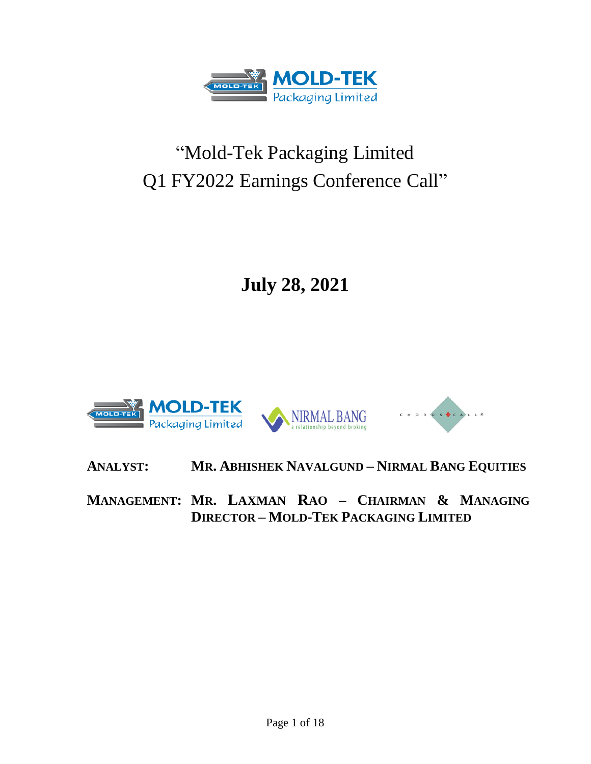

# "Mold-Tek Packaging Limited Q1 FY2022 Earnings Conference Call"

**July 28, 2021**



**ANALYST: MR. ABHISHEK NAVALGUND – NIRMAL BANG EQUITIES**

**MANAGEMENT: MR. LAXMAN RAO – CHAIRMAN & MANAGING DIRECTOR – MOLD-TEK PACKAGING LIMITED**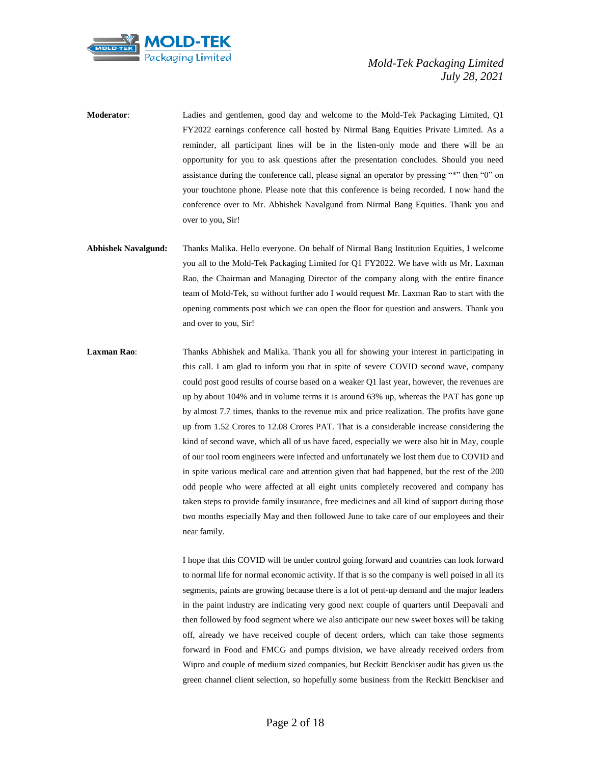

**Moderator**: Ladies and gentlemen, good day and welcome to the Mold-Tek Packaging Limited, Q1 FY2022 earnings conference call hosted by Nirmal Bang Equities Private Limited. As a reminder, all participant lines will be in the listen-only mode and there will be an opportunity for you to ask questions after the presentation concludes. Should you need assistance during the conference call, please signal an operator by pressing "\*" then "0" on your touchtone phone. Please note that this conference is being recorded. I now hand the conference over to Mr. Abhishek Navalgund from Nirmal Bang Equities. Thank you and over to you, Sir!

- **Abhishek Navalgund:** Thanks Malika. Hello everyone. On behalf of Nirmal Bang Institution Equities, I welcome you all to the Mold-Tek Packaging Limited for Q1 FY2022. We have with us Mr. Laxman Rao, the Chairman and Managing Director of the company along with the entire finance team of Mold-Tek, so without further ado I would request Mr. Laxman Rao to start with the opening comments post which we can open the floor for question and answers. Thank you and over to you, Sir!
- **Laxman Rao**: Thanks Abhishek and Malika. Thank you all for showing your interest in participating in this call. I am glad to inform you that in spite of severe COVID second wave, company could post good results of course based on a weaker Q1 last year, however, the revenues are up by about 104% and in volume terms it is around 63% up, whereas the PAT has gone up by almost 7.7 times, thanks to the revenue mix and price realization. The profits have gone up from 1.52 Crores to 12.08 Crores PAT. That is a considerable increase considering the kind of second wave, which all of us have faced, especially we were also hit in May, couple of our tool room engineers were infected and unfortunately we lost them due to COVID and in spite various medical care and attention given that had happened, but the rest of the 200 odd people who were affected at all eight units completely recovered and company has taken steps to provide family insurance, free medicines and all kind of support during those two months especially May and then followed June to take care of our employees and their near family.

I hope that this COVID will be under control going forward and countries can look forward to normal life for normal economic activity. If that is so the company is well poised in all its segments, paints are growing because there is a lot of pent-up demand and the major leaders in the paint industry are indicating very good next couple of quarters until Deepavali and then followed by food segment where we also anticipate our new sweet boxes will be taking off, already we have received couple of decent orders, which can take those segments forward in Food and FMCG and pumps division, we have already received orders from Wipro and couple of medium sized companies, but Reckitt Benckiser audit has given us the green channel client selection, so hopefully some business from the Reckitt Benckiser and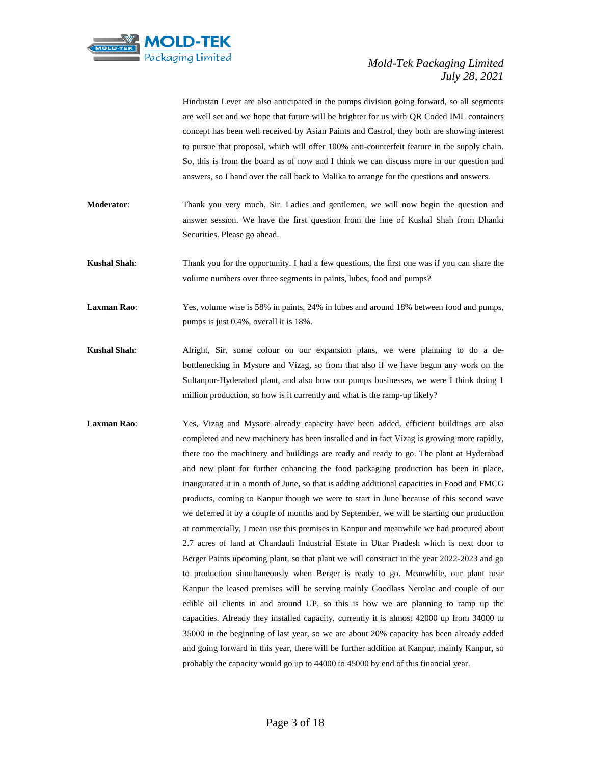

Hindustan Lever are also anticipated in the pumps division going forward, so all segments are well set and we hope that future will be brighter for us with QR Coded IML containers concept has been well received by Asian Paints and Castrol, they both are showing interest to pursue that proposal, which will offer 100% anti-counterfeit feature in the supply chain. So, this is from the board as of now and I think we can discuss more in our question and answers, so I hand over the call back to Malika to arrange for the questions and answers.

- **Moderator**: Thank you very much, Sir. Ladies and gentlemen, we will now begin the question and answer session. We have the first question from the line of Kushal Shah from Dhanki Securities. Please go ahead.
- **Kushal Shah**: Thank you for the opportunity. I had a few questions, the first one was if you can share the volume numbers over three segments in paints, lubes, food and pumps?
- **Laxman Rao**: Yes, volume wise is 58% in paints, 24% in lubes and around 18% between food and pumps, pumps is just 0.4%, overall it is 18%.
- **Kushal Shah**: Alright, Sir, some colour on our expansion plans, we were planning to do a debottlenecking in Mysore and Vizag, so from that also if we have begun any work on the Sultanpur-Hyderabad plant, and also how our pumps businesses, we were I think doing 1 million production, so how is it currently and what is the ramp-up likely?
- Laxman Rao: Yes, Vizag and Mysore already capacity have been added, efficient buildings are also completed and new machinery has been installed and in fact Vizag is growing more rapidly, there too the machinery and buildings are ready and ready to go. The plant at Hyderabad and new plant for further enhancing the food packaging production has been in place, inaugurated it in a month of June, so that is adding additional capacities in Food and FMCG products, coming to Kanpur though we were to start in June because of this second wave we deferred it by a couple of months and by September, we will be starting our production at commercially, I mean use this premises in Kanpur and meanwhile we had procured about 2.7 acres of land at Chandauli Industrial Estate in Uttar Pradesh which is next door to Berger Paints upcoming plant, so that plant we will construct in the year 2022-2023 and go to production simultaneously when Berger is ready to go. Meanwhile, our plant near Kanpur the leased premises will be serving mainly Goodlass Nerolac and couple of our edible oil clients in and around UP, so this is how we are planning to ramp up the capacities. Already they installed capacity, currently it is almost 42000 up from 34000 to 35000 in the beginning of last year, so we are about 20% capacity has been already added and going forward in this year, there will be further addition at Kanpur, mainly Kanpur, so probably the capacity would go up to 44000 to 45000 by end of this financial year.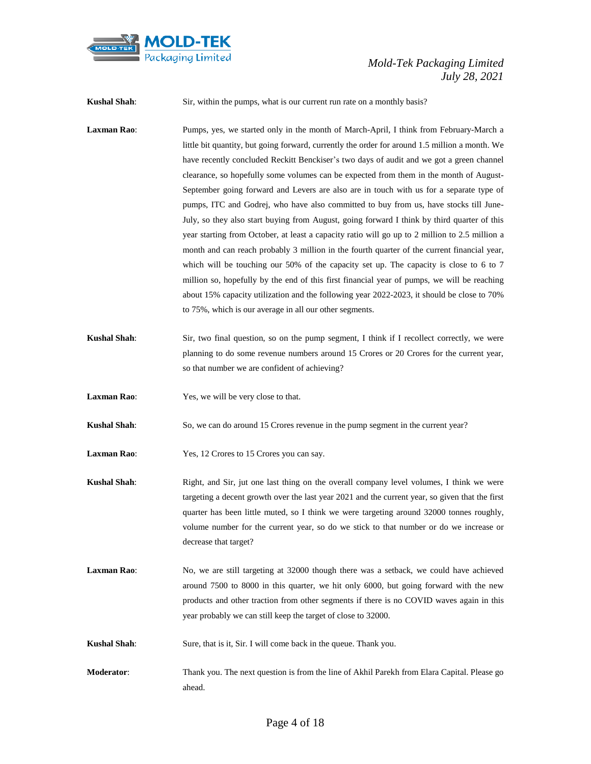

**Kushal Shah**: Sir, within the pumps, what is our current run rate on a monthly basis?

- **Laxman Rao**: Pumps, yes, we started only in the month of March-April, I think from February-March a little bit quantity, but going forward, currently the order for around 1.5 million a month. We have recently concluded Reckitt Benckiser's two days of audit and we got a green channel clearance, so hopefully some volumes can be expected from them in the month of August-September going forward and Levers are also are in touch with us for a separate type of pumps, ITC and Godrej, who have also committed to buy from us, have stocks till June-July, so they also start buying from August, going forward I think by third quarter of this year starting from October, at least a capacity ratio will go up to 2 million to 2.5 million a month and can reach probably 3 million in the fourth quarter of the current financial year, which will be touching our 50% of the capacity set up. The capacity is close to 6 to 7 million so, hopefully by the end of this first financial year of pumps, we will be reaching about 15% capacity utilization and the following year 2022-2023, it should be close to 70% to 75%, which is our average in all our other segments.
- **Kushal Shah**: Sir, two final question, so on the pump segment, I think if I recollect correctly, we were planning to do some revenue numbers around 15 Crores or 20 Crores for the current year, so that number we are confident of achieving?
- **Laxman Rao**: Yes, we will be very close to that.
- **Kushal Shah**: So, we can do around 15 Crores revenue in the pump segment in the current year?
- **Laxman Rao**: Yes, 12 Crores to 15 Crores you can say.
- **Kushal Shah**: Right, and Sir, jut one last thing on the overall company level volumes, I think we were targeting a decent growth over the last year 2021 and the current year, so given that the first quarter has been little muted, so I think we were targeting around 32000 tonnes roughly, volume number for the current year, so do we stick to that number or do we increase or decrease that target?
- **Laxman Rao:** No, we are still targeting at 32000 though there was a setback, we could have achieved around 7500 to 8000 in this quarter, we hit only 6000, but going forward with the new products and other traction from other segments if there is no COVID waves again in this year probably we can still keep the target of close to 32000.
- **Kushal Shah**: Sure, that is it, Sir. I will come back in the queue. Thank you.
- **Moderator**: Thank you. The next question is from the line of Akhil Parekh from Elara Capital. Please go ahead.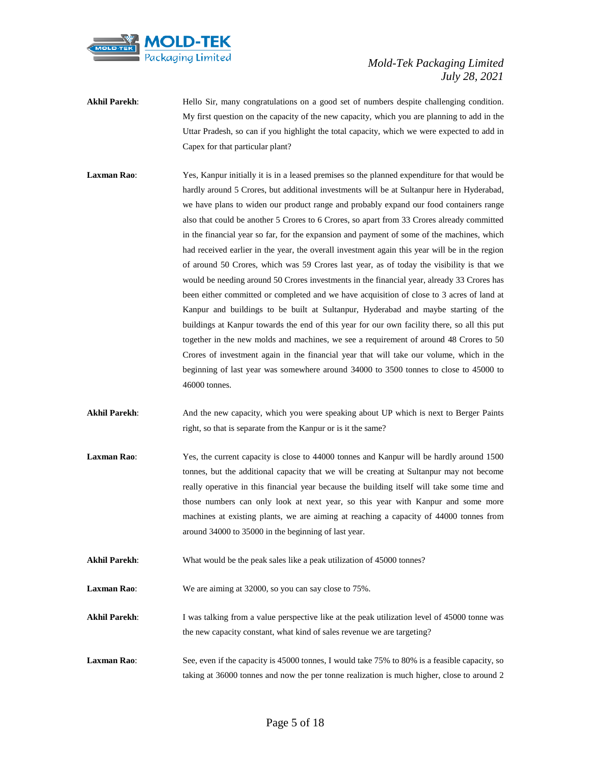

- **Akhil Parekh:** Hello Sir, many congratulations on a good set of numbers despite challenging condition. My first question on the capacity of the new capacity, which you are planning to add in the Uttar Pradesh, so can if you highlight the total capacity, which we were expected to add in Capex for that particular plant?
- **Laxman Rao**: Yes, Kanpur initially it is in a leased premises so the planned expenditure for that would be hardly around 5 Crores, but additional investments will be at Sultanpur here in Hyderabad, we have plans to widen our product range and probably expand our food containers range also that could be another 5 Crores to 6 Crores, so apart from 33 Crores already committed in the financial year so far, for the expansion and payment of some of the machines, which had received earlier in the year, the overall investment again this year will be in the region of around 50 Crores, which was 59 Crores last year, as of today the visibility is that we would be needing around 50 Crores investments in the financial year, already 33 Crores has been either committed or completed and we have acquisition of close to 3 acres of land at Kanpur and buildings to be built at Sultanpur, Hyderabad and maybe starting of the buildings at Kanpur towards the end of this year for our own facility there, so all this put together in the new molds and machines, we see a requirement of around 48 Crores to 50 Crores of investment again in the financial year that will take our volume, which in the beginning of last year was somewhere around 34000 to 3500 tonnes to close to 45000 to 46000 tonnes.
- Akhil Parekh: And the new capacity, which you were speaking about UP which is next to Berger Paints right, so that is separate from the Kanpur or is it the same?
- Laxman Rao: Yes, the current capacity is close to 44000 tonnes and Kanpur will be hardly around 1500 tonnes, but the additional capacity that we will be creating at Sultanpur may not become really operative in this financial year because the building itself will take some time and those numbers can only look at next year, so this year with Kanpur and some more machines at existing plants, we are aiming at reaching a capacity of 44000 tonnes from around 34000 to 35000 in the beginning of last year.
- **Akhil Parekh:** What would be the peak sales like a peak utilization of 45000 tonnes?

**Laxman Rao**: We are aiming at 32000, so you can say close to 75%.

- Akhil Parekh: I was talking from a value perspective like at the peak utilization level of 45000 tonne was the new capacity constant, what kind of sales revenue we are targeting?
- **Laxman Rao:** See, even if the capacity is 45000 tonnes, I would take 75% to 80% is a feasible capacity, so taking at 36000 tonnes and now the per tonne realization is much higher, close to around 2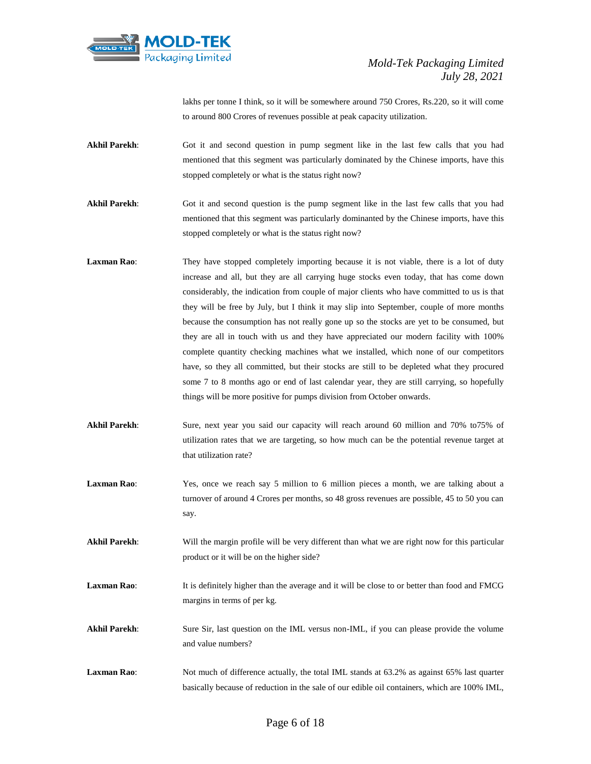

lakhs per tonne I think, so it will be somewhere around 750 Crores, Rs.220, so it will come to around 800 Crores of revenues possible at peak capacity utilization.

- **Akhil Parekh**: Got it and second question in pump segment like in the last few calls that you had mentioned that this segment was particularly dominated by the Chinese imports, have this stopped completely or what is the status right now?
- **Akhil Parekh:** Got it and second question is the pump segment like in the last few calls that you had mentioned that this segment was particularly dominanted by the Chinese imports, have this stopped completely or what is the status right now?
- **Laxman Rao:** They have stopped completely importing because it is not viable, there is a lot of duty increase and all, but they are all carrying huge stocks even today, that has come down considerably, the indication from couple of major clients who have committed to us is that they will be free by July, but I think it may slip into September, couple of more months because the consumption has not really gone up so the stocks are yet to be consumed, but they are all in touch with us and they have appreciated our modern facility with 100% complete quantity checking machines what we installed, which none of our competitors have, so they all committed, but their stocks are still to be depleted what they procured some 7 to 8 months ago or end of last calendar year, they are still carrying, so hopefully things will be more positive for pumps division from October onwards.
- **Akhil Parekh**: Sure, next year you said our capacity will reach around 60 million and 70% to75% of utilization rates that we are targeting, so how much can be the potential revenue target at that utilization rate?
- **Laxman Rao:** Yes, once we reach say 5 million to 6 million pieces a month, we are talking about a turnover of around 4 Crores per months, so 48 gross revenues are possible, 45 to 50 you can say.
- **Akhil Parekh**: Will the margin profile will be very different than what we are right now for this particular product or it will be on the higher side?
- **Laxman Rao:** It is definitely higher than the average and it will be close to or better than food and FMCG margins in terms of per kg.
- **Akhil Parekh**: Sure Sir, last question on the IML versus non-IML, if you can please provide the volume and value numbers?
- **Laxman Rao:** Not much of difference actually, the total IML stands at 63.2% as against 65% last quarter basically because of reduction in the sale of our edible oil containers, which are 100% IML,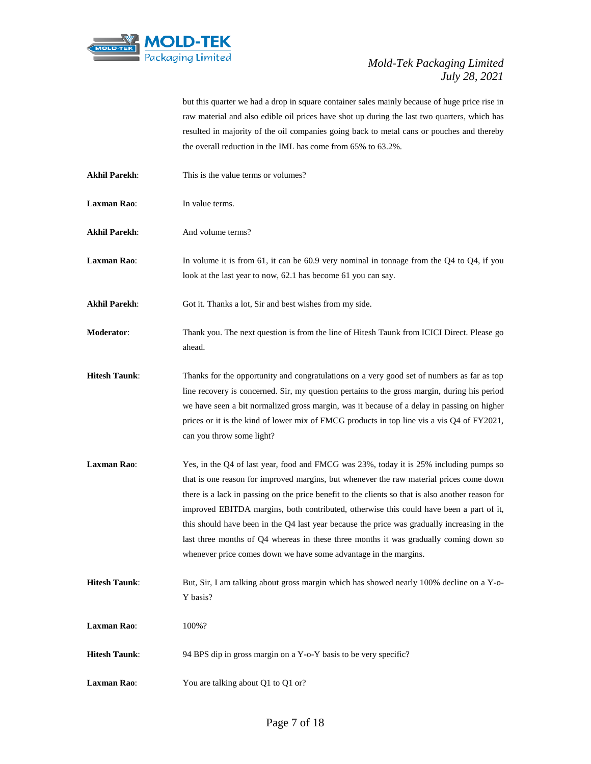

but this quarter we had a drop in square container sales mainly because of huge price rise in raw material and also edible oil prices have shot up during the last two quarters, which has resulted in majority of the oil companies going back to metal cans or pouches and thereby the overall reduction in the IML has come from 65% to 63.2%.

- **Akhil Parekh**: This is the value terms or volumes?
- **Laxman Rao:** In value terms.
- Akhil Parekh: And volume terms?

**Laxman Rao:** In volume it is from 61, it can be 60.9 very nominal in tonnage from the Q4 to Q4, if you look at the last year to now, 62.1 has become 61 you can say.

Akhil Parekh: Got it. Thanks a lot, Sir and best wishes from my side.

- **Moderator**: Thank you. The next question is from the line of Hitesh Taunk from ICICI Direct. Please go ahead.
- **Hitesh Taunk:** Thanks for the opportunity and congratulations on a very good set of numbers as far as top line recovery is concerned. Sir, my question pertains to the gross margin, during his period we have seen a bit normalized gross margin, was it because of a delay in passing on higher prices or it is the kind of lower mix of FMCG products in top line vis a vis Q4 of FY2021, can you throw some light?
- **Laxman Rao**: Yes, in the Q4 of last year, food and FMCG was 23%, today it is 25% including pumps so that is one reason for improved margins, but whenever the raw material prices come down there is a lack in passing on the price benefit to the clients so that is also another reason for improved EBITDA margins, both contributed, otherwise this could have been a part of it, this should have been in the Q4 last year because the price was gradually increasing in the last three months of Q4 whereas in these three months it was gradually coming down so whenever price comes down we have some advantage in the margins.
- **Hitesh Taunk**: But, Sir, I am talking about gross margin which has showed nearly 100% decline on a Y-o-Y basis?
- **Laxman Rao**: 100%?
- **Hitesh Taunk:** 94 BPS dip in gross margin on a Y-o-Y basis to be very specific?
- **Laxman Rao:** You are talking about Q1 to Q1 or?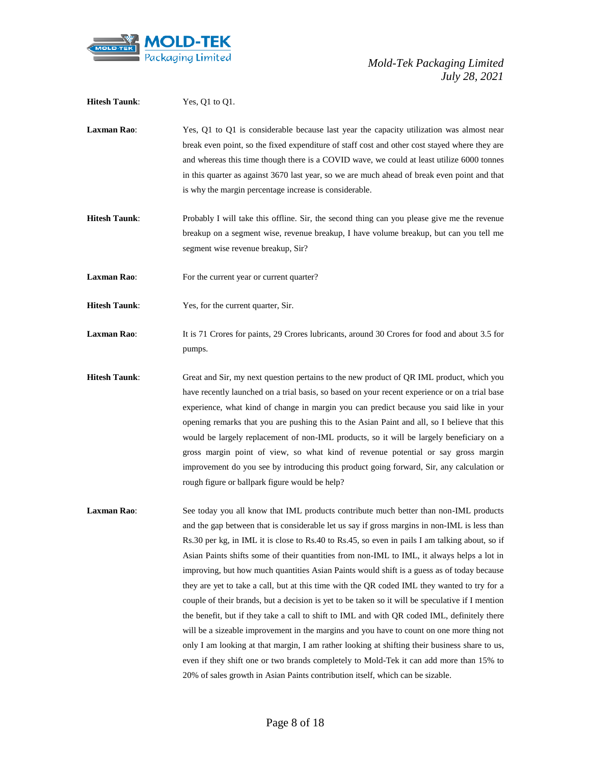

| <b>Hitesh Taunk:</b> | Yes, Q1 to Q1.                                                                                                                                                                                                                                                                                                                                                                                                                                                                                                                                                                                                                                                                                                                                                                                                                                                                                                                                                                                                                                                                   |
|----------------------|----------------------------------------------------------------------------------------------------------------------------------------------------------------------------------------------------------------------------------------------------------------------------------------------------------------------------------------------------------------------------------------------------------------------------------------------------------------------------------------------------------------------------------------------------------------------------------------------------------------------------------------------------------------------------------------------------------------------------------------------------------------------------------------------------------------------------------------------------------------------------------------------------------------------------------------------------------------------------------------------------------------------------------------------------------------------------------|
| Laxman Rao:          | Yes, Q1 to Q1 is considerable because last year the capacity utilization was almost near<br>break even point, so the fixed expenditure of staff cost and other cost stayed where they are<br>and whereas this time though there is a COVID wave, we could at least utilize 6000 tonnes<br>in this quarter as against 3670 last year, so we are much ahead of break even point and that<br>is why the margin percentage increase is considerable.                                                                                                                                                                                                                                                                                                                                                                                                                                                                                                                                                                                                                                 |
| <b>Hitesh Taunk:</b> | Probably I will take this offline. Sir, the second thing can you please give me the revenue<br>breakup on a segment wise, revenue breakup, I have volume breakup, but can you tell me<br>segment wise revenue breakup, Sir?                                                                                                                                                                                                                                                                                                                                                                                                                                                                                                                                                                                                                                                                                                                                                                                                                                                      |
| Laxman Rao:          | For the current year or current quarter?                                                                                                                                                                                                                                                                                                                                                                                                                                                                                                                                                                                                                                                                                                                                                                                                                                                                                                                                                                                                                                         |
| <b>Hitesh Taunk:</b> | Yes, for the current quarter, Sir.                                                                                                                                                                                                                                                                                                                                                                                                                                                                                                                                                                                                                                                                                                                                                                                                                                                                                                                                                                                                                                               |
| Laxman Rao:          | It is 71 Crores for paints, 29 Crores lubricants, around 30 Crores for food and about 3.5 for<br>pumps.                                                                                                                                                                                                                                                                                                                                                                                                                                                                                                                                                                                                                                                                                                                                                                                                                                                                                                                                                                          |
| <b>Hitesh Taunk:</b> | Great and Sir, my next question pertains to the new product of QR IML product, which you<br>have recently launched on a trial basis, so based on your recent experience or on a trial base<br>experience, what kind of change in margin you can predict because you said like in your<br>opening remarks that you are pushing this to the Asian Paint and all, so I believe that this<br>would be largely replacement of non-IML products, so it will be largely beneficiary on a<br>gross margin point of view, so what kind of revenue potential or say gross margin<br>improvement do you see by introducing this product going forward, Sir, any calculation or<br>rough figure or ballpark figure would be help?                                                                                                                                                                                                                                                                                                                                                            |
| Laxman Rao:          | See today you all know that IML products contribute much better than non-IML products<br>and the gap between that is considerable let us say if gross margins in non-IML is less than<br>Rs.30 per kg, in IML it is close to Rs.40 to Rs.45, so even in pails I am talking about, so if<br>Asian Paints shifts some of their quantities from non-IML to IML, it always helps a lot in<br>improving, but how much quantities Asian Paints would shift is a guess as of today because<br>they are yet to take a call, but at this time with the QR coded IML they wanted to try for a<br>couple of their brands, but a decision is yet to be taken so it will be speculative if I mention<br>the benefit, but if they take a call to shift to IML and with QR coded IML, definitely there<br>will be a sizeable improvement in the margins and you have to count on one more thing not<br>only I am looking at that margin, I am rather looking at shifting their business share to us,<br>even if they shift one or two brands completely to Mold-Tek it can add more than 15% to |

20% of sales growth in Asian Paints contribution itself, which can be sizable.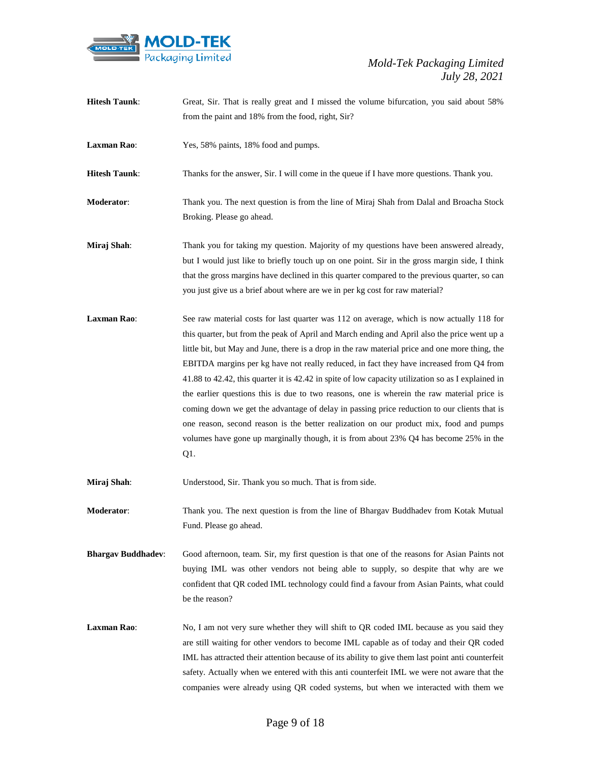

| <b>Hitesh Taunk:</b>      | Great, Sir. That is really great and I missed the volume bifurcation, you said about 58%           |
|---------------------------|----------------------------------------------------------------------------------------------------|
|                           | from the paint and 18% from the food, right, Sir?                                                  |
|                           |                                                                                                    |
| <b>Laxman Rao:</b>        | Yes, 58% paints, 18% food and pumps.                                                               |
|                           |                                                                                                    |
| <b>Hitesh Taunk:</b>      | Thanks for the answer, Sir. I will come in the queue if I have more questions. Thank you.          |
|                           |                                                                                                    |
| Moderator:                | Thank you. The next question is from the line of Miraj Shah from Dalal and Broacha Stock           |
|                           | Broking. Please go ahead.                                                                          |
|                           |                                                                                                    |
| Miraj Shah:               | Thank you for taking my question. Majority of my questions have been answered already,             |
|                           | but I would just like to briefly touch up on one point. Sir in the gross margin side, I think      |
|                           | that the gross margins have declined in this quarter compared to the previous quarter, so can      |
|                           | you just give us a brief about where are we in per kg cost for raw material?                       |
| <b>Laxman Rao:</b>        | See raw material costs for last quarter was 112 on average, which is now actually 118 for          |
|                           |                                                                                                    |
|                           | this quarter, but from the peak of April and March ending and April also the price went up a       |
|                           | little bit, but May and June, there is a drop in the raw material price and one more thing, the    |
|                           | EBITDA margins per kg have not really reduced, in fact they have increased from Q4 from            |
|                           | 41.88 to 42.42, this quarter it is 42.42 in spite of low capacity utilization so as I explained in |
|                           | the earlier questions this is due to two reasons, one is wherein the raw material price is         |
|                           | coming down we get the advantage of delay in passing price reduction to our clients that is        |
|                           | one reason, second reason is the better realization on our product mix, food and pumps             |
|                           | volumes have gone up marginally though, it is from about $23\%$ Q4 has become $25\%$ in the        |
|                           | Q1.                                                                                                |
|                           |                                                                                                    |
| Miraj Shah:               | Understood, Sir. Thank you so much. That is from side.                                             |
| Moderator:                | Thank you. The next question is from the line of Bhargav Buddhadev from Kotak Mutual               |
|                           |                                                                                                    |
|                           | Fund. Please go ahead.                                                                             |
| <b>Bhargav Buddhadev:</b> | Good afternoon, team. Sir, my first question is that one of the reasons for Asian Paints not       |
|                           | buying IML was other vendors not being able to supply, so despite that why are we                  |
|                           | confident that QR coded IML technology could find a favour from Asian Paints, what could           |
|                           | be the reason?                                                                                     |
|                           |                                                                                                    |
| <b>Laxman Rao:</b>        | No, I am not very sure whether they will shift to QR coded IML because as you said they            |
|                           | are still waiting for other vendors to become IML capable as of today and their QR coded           |
|                           | IML has attracted their attention because of its ability to give them last point anti counterfeit  |
|                           | safety. Actually when we entered with this anti counterfeit IML we were not aware that the         |
|                           |                                                                                                    |
|                           | companies were already using QR coded systems, but when we interacted with them we                 |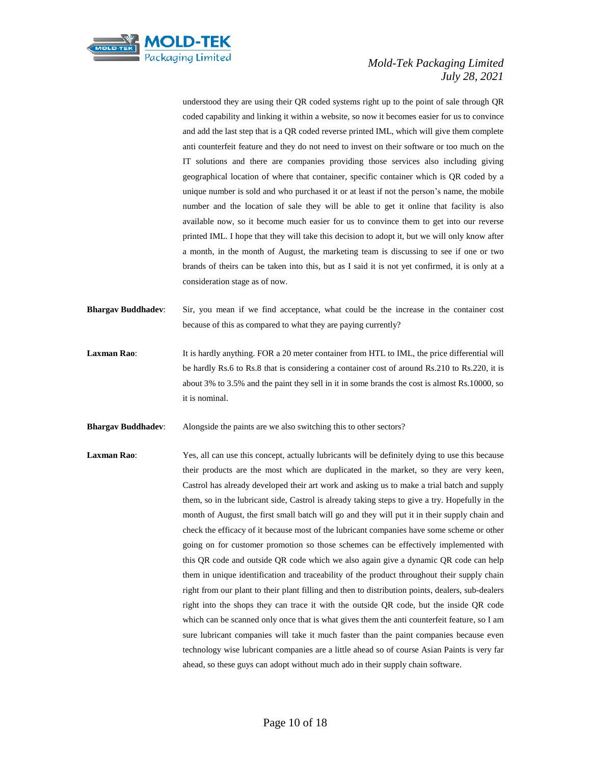

understood they are using their QR coded systems right up to the point of sale through QR coded capability and linking it within a website, so now it becomes easier for us to convince and add the last step that is a QR coded reverse printed IML, which will give them complete anti counterfeit feature and they do not need to invest on their software or too much on the IT solutions and there are companies providing those services also including giving geographical location of where that container, specific container which is QR coded by a unique number is sold and who purchased it or at least if not the person's name, the mobile number and the location of sale they will be able to get it online that facility is also available now, so it become much easier for us to convince them to get into our reverse printed IML. I hope that they will take this decision to adopt it, but we will only know after a month, in the month of August, the marketing team is discussing to see if one or two brands of theirs can be taken into this, but as I said it is not yet confirmed, it is only at a consideration stage as of now.

- **Bhargav Buddhadev**: Sir, you mean if we find acceptance, what could be the increase in the container cost because of this as compared to what they are paying currently?
- **Laxman Rao:** It is hardly anything. FOR a 20 meter container from HTL to IML, the price differential will be hardly Rs.6 to Rs.8 that is considering a container cost of around Rs.210 to Rs.220, it is about 3% to 3.5% and the paint they sell in it in some brands the cost is almost Rs.10000, so it is nominal.
- **Bhargav Buddhadev:** Alongside the paints are we also switching this to other sectors?
- Laxman Rao: Yes, all can use this concept, actually lubricants will be definitely dying to use this because their products are the most which are duplicated in the market, so they are very keen, Castrol has already developed their art work and asking us to make a trial batch and supply them, so in the lubricant side, Castrol is already taking steps to give a try. Hopefully in the month of August, the first small batch will go and they will put it in their supply chain and check the efficacy of it because most of the lubricant companies have some scheme or other going on for customer promotion so those schemes can be effectively implemented with this QR code and outside QR code which we also again give a dynamic QR code can help them in unique identification and traceability of the product throughout their supply chain right from our plant to their plant filling and then to distribution points, dealers, sub-dealers right into the shops they can trace it with the outside QR code, but the inside QR code which can be scanned only once that is what gives them the anti counterfeit feature, so I am sure lubricant companies will take it much faster than the paint companies because even technology wise lubricant companies are a little ahead so of course Asian Paints is very far ahead, so these guys can adopt without much ado in their supply chain software.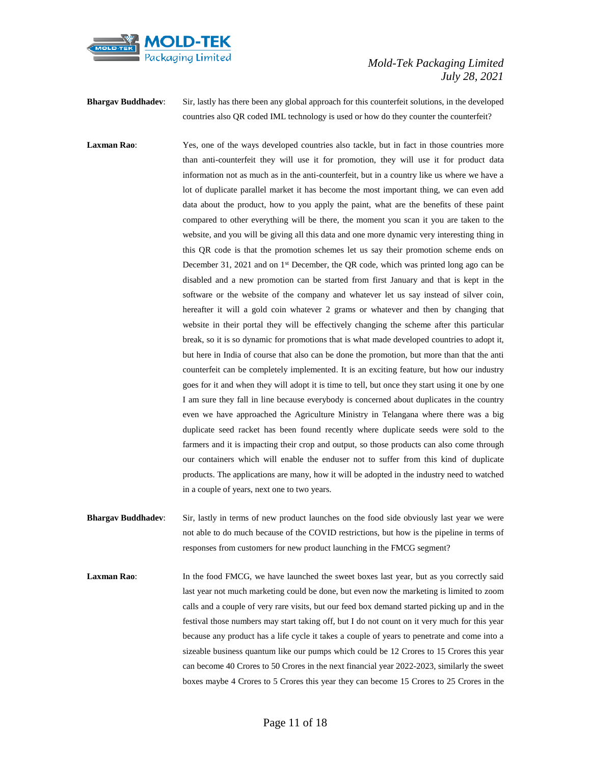

**Bhargav Buddhadev**: Sir, lastly has there been any global approach for this counterfeit solutions, in the developed countries also QR coded IML technology is used or how do they counter the counterfeit?

**Laxman Rao:** Yes, one of the ways developed countries also tackle, but in fact in those countries more than anti-counterfeit they will use it for promotion, they will use it for product data information not as much as in the anti-counterfeit, but in a country like us where we have a lot of duplicate parallel market it has become the most important thing, we can even add data about the product, how to you apply the paint, what are the benefits of these paint compared to other everything will be there, the moment you scan it you are taken to the website, and you will be giving all this data and one more dynamic very interesting thing in this QR code is that the promotion schemes let us say their promotion scheme ends on December 31, 2021 and on 1st December, the QR code, which was printed long ago can be disabled and a new promotion can be started from first January and that is kept in the software or the website of the company and whatever let us say instead of silver coin, hereafter it will a gold coin whatever 2 grams or whatever and then by changing that website in their portal they will be effectively changing the scheme after this particular break, so it is so dynamic for promotions that is what made developed countries to adopt it, but here in India of course that also can be done the promotion, but more than that the anti counterfeit can be completely implemented. It is an exciting feature, but how our industry goes for it and when they will adopt it is time to tell, but once they start using it one by one I am sure they fall in line because everybody is concerned about duplicates in the country even we have approached the Agriculture Ministry in Telangana where there was a big duplicate seed racket has been found recently where duplicate seeds were sold to the farmers and it is impacting their crop and output, so those products can also come through our containers which will enable the enduser not to suffer from this kind of duplicate products. The applications are many, how it will be adopted in the industry need to watched in a couple of years, next one to two years.

**Bhargav Buddhadev**: Sir, lastly in terms of new product launches on the food side obviously last year we were not able to do much because of the COVID restrictions, but how is the pipeline in terms of responses from customers for new product launching in the FMCG segment?

Laxman Rao: In the food FMCG, we have launched the sweet boxes last year, but as you correctly said last year not much marketing could be done, but even now the marketing is limited to zoom calls and a couple of very rare visits, but our feed box demand started picking up and in the festival those numbers may start taking off, but I do not count on it very much for this year because any product has a life cycle it takes a couple of years to penetrate and come into a sizeable business quantum like our pumps which could be 12 Crores to 15 Crores this year can become 40 Crores to 50 Crores in the next financial year 2022-2023, similarly the sweet boxes maybe 4 Crores to 5 Crores this year they can become 15 Crores to 25 Crores in the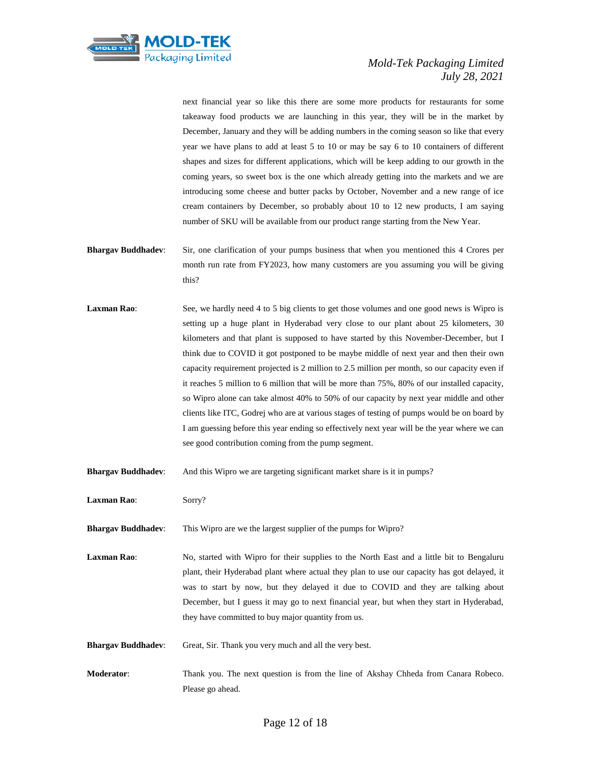

next financial year so like this there are some more products for restaurants for some takeaway food products we are launching in this year, they will be in the market by December, January and they will be adding numbers in the coming season so like that every year we have plans to add at least 5 to 10 or may be say 6 to 10 containers of different shapes and sizes for different applications, which will be keep adding to our growth in the coming years, so sweet box is the one which already getting into the markets and we are introducing some cheese and butter packs by October, November and a new range of ice cream containers by December, so probably about 10 to 12 new products, I am saying number of SKU will be available from our product range starting from the New Year.

- **Bhargav Buddhadev**: Sir, one clarification of your pumps business that when you mentioned this 4 Crores per month run rate from FY2023, how many customers are you assuming you will be giving this?
- Laxman Rao: See, we hardly need 4 to 5 big clients to get those volumes and one good news is Wipro is setting up a huge plant in Hyderabad very close to our plant about 25 kilometers, 30 kilometers and that plant is supposed to have started by this November-December, but I think due to COVID it got postponed to be maybe middle of next year and then their own capacity requirement projected is 2 million to 2.5 million per month, so our capacity even if it reaches 5 million to 6 million that will be more than 75%, 80% of our installed capacity, so Wipro alone can take almost 40% to 50% of our capacity by next year middle and other clients like ITC, Godrej who are at various stages of testing of pumps would be on board by I am guessing before this year ending so effectively next year will be the year where we can see good contribution coming from the pump segment.
- **Bhargav Buddhadev:** And this Wipro we are targeting significant market share is it in pumps?
- **Laxman Rao**: Sorry?
- **Bhargav Buddhadev**: This Wipro are we the largest supplier of the pumps for Wipro?
- Laxman Rao: No, started with Wipro for their supplies to the North East and a little bit to Bengaluru plant, their Hyderabad plant where actual they plan to use our capacity has got delayed, it was to start by now, but they delayed it due to COVID and they are talking about December, but I guess it may go to next financial year, but when they start in Hyderabad, they have committed to buy major quantity from us.
- **Bhargav Buddhadev**: Great, Sir. Thank you very much and all the very best.
- **Moderator**: Thank you. The next question is from the line of Akshay Chheda from Canara Robeco. Please go ahead.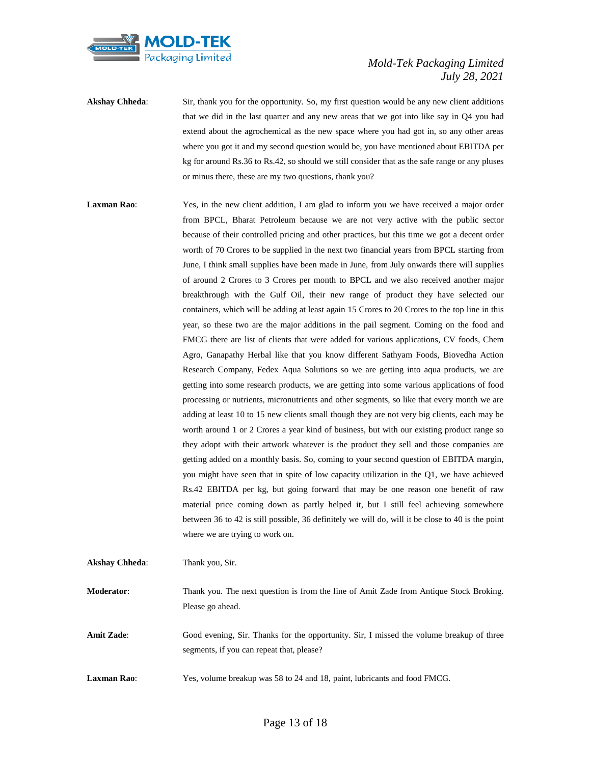

**Akshay Chheda:** Sir, thank you for the opportunity. So, my first question would be any new client additions that we did in the last quarter and any new areas that we got into like say in Q4 you had extend about the agrochemical as the new space where you had got in, so any other areas where you got it and my second question would be, you have mentioned about EBITDA per kg for around Rs.36 to Rs.42, so should we still consider that as the safe range or any pluses or minus there, these are my two questions, thank you?

**Laxman Rao:** Yes, in the new client addition, I am glad to inform you we have received a major order from BPCL, Bharat Petroleum because we are not very active with the public sector because of their controlled pricing and other practices, but this time we got a decent order worth of 70 Crores to be supplied in the next two financial years from BPCL starting from June, I think small supplies have been made in June, from July onwards there will supplies of around 2 Crores to 3 Crores per month to BPCL and we also received another major breakthrough with the Gulf Oil, their new range of product they have selected our containers, which will be adding at least again 15 Crores to 20 Crores to the top line in this year, so these two are the major additions in the pail segment. Coming on the food and FMCG there are list of clients that were added for various applications, CV foods, Chem Agro, Ganapathy Herbal like that you know different Sathyam Foods, Biovedha Action Research Company, Fedex Aqua Solutions so we are getting into aqua products, we are getting into some research products, we are getting into some various applications of food processing or nutrients, micronutrients and other segments, so like that every month we are adding at least 10 to 15 new clients small though they are not very big clients, each may be worth around 1 or 2 Crores a year kind of business, but with our existing product range so they adopt with their artwork whatever is the product they sell and those companies are getting added on a monthly basis. So, coming to your second question of EBITDA margin, you might have seen that in spite of low capacity utilization in the Q1, we have achieved Rs.42 EBITDA per kg, but going forward that may be one reason one benefit of raw material price coming down as partly helped it, but I still feel achieving somewhere between 36 to 42 is still possible, 36 definitely we will do, will it be close to 40 is the point where we are trying to work on. **Akshay Chheda**: Thank you, Sir.

**Moderator**: Thank you. The next question is from the line of Amit Zade from Antique Stock Broking. Please go ahead.

**Amit Zade**: Good evening, Sir. Thanks for the opportunity. Sir, I missed the volume breakup of three segments, if you can repeat that, please?

**Laxman Rao**: Yes, volume breakup was 58 to 24 and 18, paint, lubricants and food FMCG.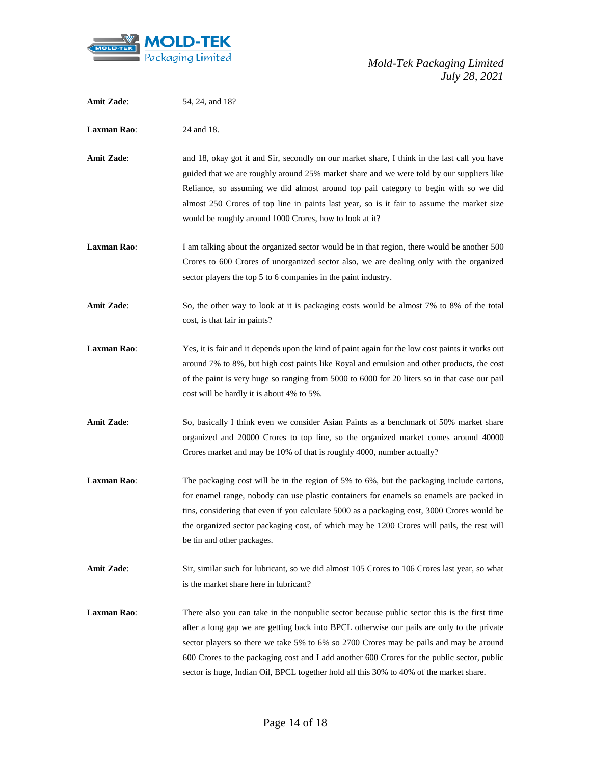

| <b>Amit Zade:</b>  | 54, 24, and 18?                                                                                                                                                                                                                                                                                                                                                                                                                                                                |
|--------------------|--------------------------------------------------------------------------------------------------------------------------------------------------------------------------------------------------------------------------------------------------------------------------------------------------------------------------------------------------------------------------------------------------------------------------------------------------------------------------------|
| <b>Laxman Rao:</b> | 24 and 18.                                                                                                                                                                                                                                                                                                                                                                                                                                                                     |
| <b>Amit Zade:</b>  | and 18, okay got it and Sir, secondly on our market share, I think in the last call you have<br>guided that we are roughly around 25% market share and we were told by our suppliers like<br>Reliance, so assuming we did almost around top pail category to begin with so we did<br>almost 250 Crores of top line in paints last year, so is it fair to assume the market size<br>would be roughly around 1000 Crores, how to look at it?                                     |
| <b>Laxman Rao:</b> | I am talking about the organized sector would be in that region, there would be another 500<br>Crores to 600 Crores of unorganized sector also, we are dealing only with the organized<br>sector players the top 5 to 6 companies in the paint industry.                                                                                                                                                                                                                       |
| <b>Amit Zade:</b>  | So, the other way to look at it is packaging costs would be almost 7% to 8% of the total<br>cost, is that fair in paints?                                                                                                                                                                                                                                                                                                                                                      |
| <b>Laxman Rao:</b> | Yes, it is fair and it depends upon the kind of paint again for the low cost paints it works out<br>around 7% to 8%, but high cost paints like Royal and emulsion and other products, the cost<br>of the paint is very huge so ranging from 5000 to 6000 for 20 liters so in that case our pail<br>cost will be hardly it is about 4% to 5%.                                                                                                                                   |
| <b>Amit Zade:</b>  | So, basically I think even we consider Asian Paints as a benchmark of 50% market share<br>organized and 20000 Crores to top line, so the organized market comes around 40000<br>Crores market and may be 10% of that is roughly 4000, number actually?                                                                                                                                                                                                                         |
| <b>Laxman Rao:</b> | The packaging cost will be in the region of 5% to 6%, but the packaging include cartons,<br>for enamel range, nobody can use plastic containers for enamels so enamels are packed in<br>tins, considering that even if you calculate 5000 as a packaging cost, 3000 Crores would be<br>the organized sector packaging cost, of which may be 1200 Crores will pails, the rest will<br>be tin and other packages.                                                                |
| <b>Amit Zade:</b>  | Sir, similar such for lubricant, so we did almost 105 Crores to 106 Crores last year, so what<br>is the market share here in lubricant?                                                                                                                                                                                                                                                                                                                                        |
| <b>Laxman Rao:</b> | There also you can take in the nonpublic sector because public sector this is the first time<br>after a long gap we are getting back into BPCL otherwise our pails are only to the private<br>sector players so there we take 5% to 6% so 2700 Crores may be pails and may be around<br>600 Crores to the packaging cost and I add another 600 Crores for the public sector, public<br>sector is huge, Indian Oil, BPCL together hold all this 30% to 40% of the market share. |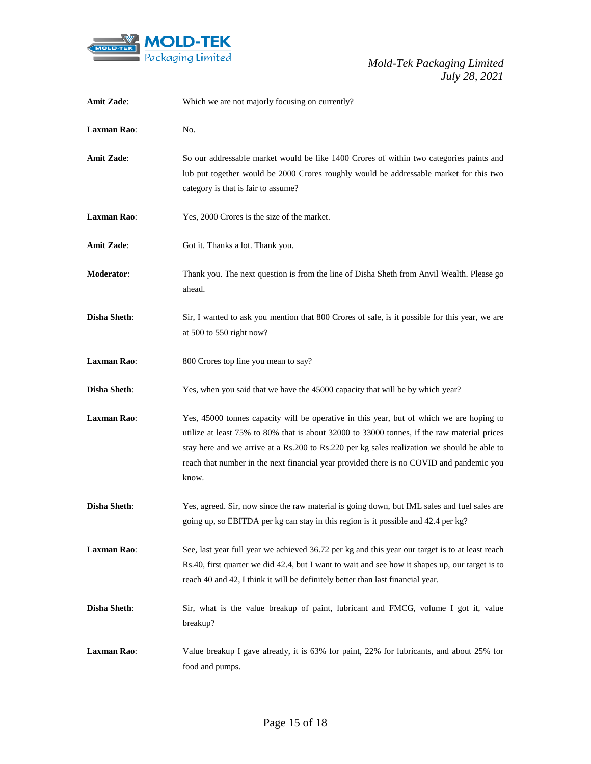

| <b>Amit Zade:</b>   | Which we are not majorly focusing on currently?                                                                                                                                                                                                                                                                                                                                             |
|---------------------|---------------------------------------------------------------------------------------------------------------------------------------------------------------------------------------------------------------------------------------------------------------------------------------------------------------------------------------------------------------------------------------------|
| <b>Laxman Rao:</b>  | No.                                                                                                                                                                                                                                                                                                                                                                                         |
| <b>Amit Zade:</b>   | So our addressable market would be like 1400 Crores of within two categories paints and<br>lub put together would be 2000 Crores roughly would be addressable market for this two<br>category is that is fair to assume?                                                                                                                                                                    |
| <b>Laxman Rao:</b>  | Yes, 2000 Crores is the size of the market.                                                                                                                                                                                                                                                                                                                                                 |
| <b>Amit Zade:</b>   | Got it. Thanks a lot. Thank you.                                                                                                                                                                                                                                                                                                                                                            |
| <b>Moderator:</b>   | Thank you. The next question is from the line of Disha Sheth from Anvil Wealth. Please go<br>ahead.                                                                                                                                                                                                                                                                                         |
| <b>Disha Sheth:</b> | Sir, I wanted to ask you mention that 800 Crores of sale, is it possible for this year, we are<br>at 500 to 550 right now?                                                                                                                                                                                                                                                                  |
| <b>Laxman Rao:</b>  | 800 Crores top line you mean to say?                                                                                                                                                                                                                                                                                                                                                        |
| <b>Disha Sheth:</b> | Yes, when you said that we have the 45000 capacity that will be by which year?                                                                                                                                                                                                                                                                                                              |
| <b>Laxman Rao:</b>  | Yes, 45000 tonnes capacity will be operative in this year, but of which we are hoping to<br>utilize at least 75% to 80% that is about 32000 to 33000 tonnes, if the raw material prices<br>stay here and we arrive at a Rs.200 to Rs.220 per kg sales realization we should be able to<br>reach that number in the next financial year provided there is no COVID and pandemic you<br>know. |
| <b>Disha Sheth:</b> | Yes, agreed. Sir, now since the raw material is going down, but IML sales and fuel sales are<br>going up, so EBITDA per kg can stay in this region is it possible and 42.4 per kg?                                                                                                                                                                                                          |
| <b>Laxman Rao:</b>  | See, last year full year we achieved 36.72 per kg and this year our target is to at least reach<br>Rs.40, first quarter we did 42.4, but I want to wait and see how it shapes up, our target is to<br>reach 40 and 42, I think it will be definitely better than last financial year.                                                                                                       |
| <b>Disha Sheth:</b> | Sir, what is the value breakup of paint, lubricant and FMCG, volume I got it, value<br>breakup?                                                                                                                                                                                                                                                                                             |
| <b>Laxman Rao:</b>  | Value breakup I gave already, it is 63% for paint, 22% for lubricants, and about 25% for<br>food and pumps.                                                                                                                                                                                                                                                                                 |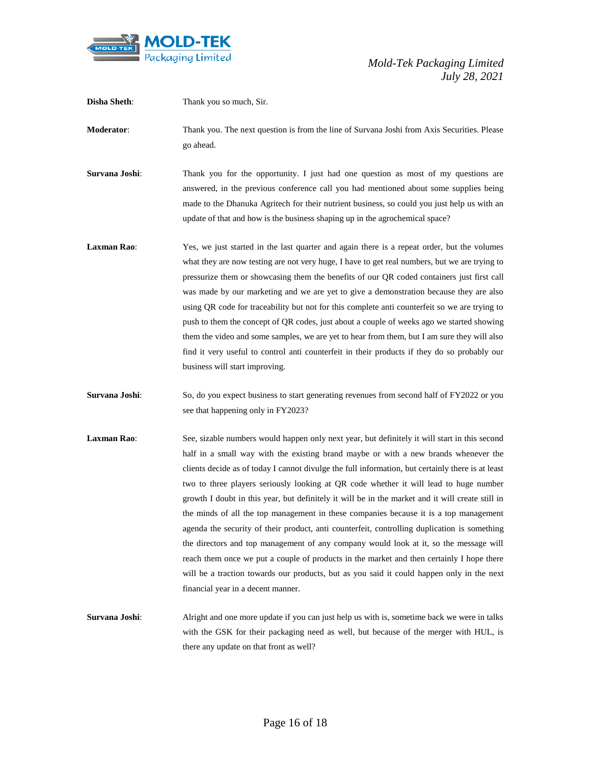

| <b>Disha Sheth:</b> | Thank you so much, Sir.                                                                                                                                                                                                                                                                                                                                                                                                                                                                                                                                                                                                                                                                                                                                                                                                                                                                                                                                                                                  |
|---------------------|----------------------------------------------------------------------------------------------------------------------------------------------------------------------------------------------------------------------------------------------------------------------------------------------------------------------------------------------------------------------------------------------------------------------------------------------------------------------------------------------------------------------------------------------------------------------------------------------------------------------------------------------------------------------------------------------------------------------------------------------------------------------------------------------------------------------------------------------------------------------------------------------------------------------------------------------------------------------------------------------------------|
| Moderator:          | Thank you. The next question is from the line of Survana Joshi from Axis Securities. Please<br>go ahead.                                                                                                                                                                                                                                                                                                                                                                                                                                                                                                                                                                                                                                                                                                                                                                                                                                                                                                 |
| Survana Joshi:      | Thank you for the opportunity. I just had one question as most of my questions are<br>answered, in the previous conference call you had mentioned about some supplies being<br>made to the Dhanuka Agritech for their nutrient business, so could you just help us with an<br>update of that and how is the business shaping up in the agrochemical space?                                                                                                                                                                                                                                                                                                                                                                                                                                                                                                                                                                                                                                               |
| <b>Laxman Rao:</b>  | Yes, we just started in the last quarter and again there is a repeat order, but the volumes<br>what they are now testing are not very huge, I have to get real numbers, but we are trying to<br>pressurize them or showcasing them the benefits of our QR coded containers just first call<br>was made by our marketing and we are yet to give a demonstration because they are also<br>using QR code for traceability but not for this complete anti counterfeit so we are trying to<br>push to them the concept of QR codes, just about a couple of weeks ago we started showing<br>them the video and some samples, we are yet to hear from them, but I am sure they will also<br>find it very useful to control anti counterfeit in their products if they do so probably our<br>business will start improving.                                                                                                                                                                                      |
| Survana Joshi:      | So, do you expect business to start generating revenues from second half of FY2022 or you<br>see that happening only in FY2023?                                                                                                                                                                                                                                                                                                                                                                                                                                                                                                                                                                                                                                                                                                                                                                                                                                                                          |
| <b>Laxman Rao:</b>  | See, sizable numbers would happen only next year, but definitely it will start in this second<br>half in a small way with the existing brand maybe or with a new brands whenever the<br>clients decide as of today I cannot divulge the full information, but certainly there is at least<br>two to three players seriously looking at QR code whether it will lead to huge number<br>growth I doubt in this year, but definitely it will be in the market and it will create still in<br>the minds of all the top management in these companies because it is a top management<br>agenda the security of their product, anti counterfeit, controlling duplication is something<br>the directors and top management of any company would look at it, so the message will<br>reach them once we put a couple of products in the market and then certainly I hope there<br>will be a traction towards our products, but as you said it could happen only in the next<br>financial year in a decent manner. |
| Survana Joshi       | Alright and one more undate if you can just help us with is sometime back we were in talks                                                                                                                                                                                                                                                                                                                                                                                                                                                                                                                                                                                                                                                                                                                                                                                                                                                                                                               |

**Survana Joshi:** Alright and one more update if you can just help us with is, sometime back we were in talks with the GSK for their packaging need as well, but because of the merger with HUL, is there any update on that front as well?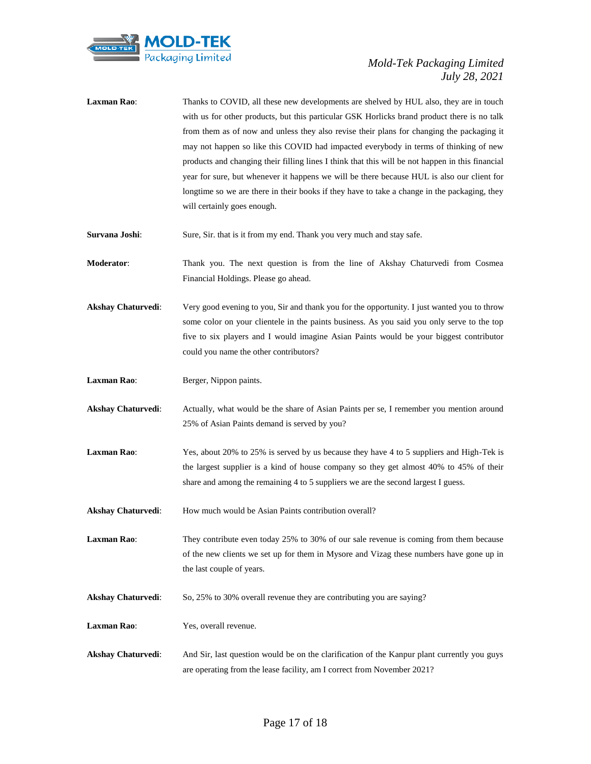

- Laxman Rao: Thanks to COVID, all these new developments are shelved by HUL also, they are in touch with us for other products, but this particular GSK Horlicks brand product there is no talk from them as of now and unless they also revise their plans for changing the packaging it may not happen so like this COVID had impacted everybody in terms of thinking of new products and changing their filling lines I think that this will be not happen in this financial year for sure, but whenever it happens we will be there because HUL is also our client for longtime so we are there in their books if they have to take a change in the packaging, they will certainly goes enough.
- **Survana Joshi:** Sure, Sir. that is it from my end. Thank you very much and stay safe.

**Moderator**: Thank you. The next question is from the line of Akshay Chaturvedi from Cosmea Financial Holdings. Please go ahead.

- **Akshay Chaturvedi**: Very good evening to you, Sir and thank you for the opportunity. I just wanted you to throw some color on your clientele in the paints business. As you said you only serve to the top five to six players and I would imagine Asian Paints would be your biggest contributor could you name the other contributors?
- Laxman Rao: Berger, Nippon paints.
- Akshay Chaturvedi: Actually, what would be the share of Asian Paints per se, I remember you mention around 25% of Asian Paints demand is served by you?
- **Laxman Rao**: Yes, about 20% to 25% is served by us because they have 4 to 5 suppliers and High-Tek is the largest supplier is a kind of house company so they get almost 40% to 45% of their share and among the remaining 4 to 5 suppliers we are the second largest I guess.
- Akshay Chaturvedi: How much would be Asian Paints contribution overall?

Laxman Rao: They contribute even today 25% to 30% of our sale revenue is coming from them because of the new clients we set up for them in Mysore and Vizag these numbers have gone up in the last couple of years.

- **Akshay Chaturvedi:** So, 25% to 30% overall revenue they are contributing you are saying?
- **Laxman Rao**: Yes, overall revenue.
- **Akshay Chaturvedi**: And Sir, last question would be on the clarification of the Kanpur plant currently you guys are operating from the lease facility, am I correct from November 2021?